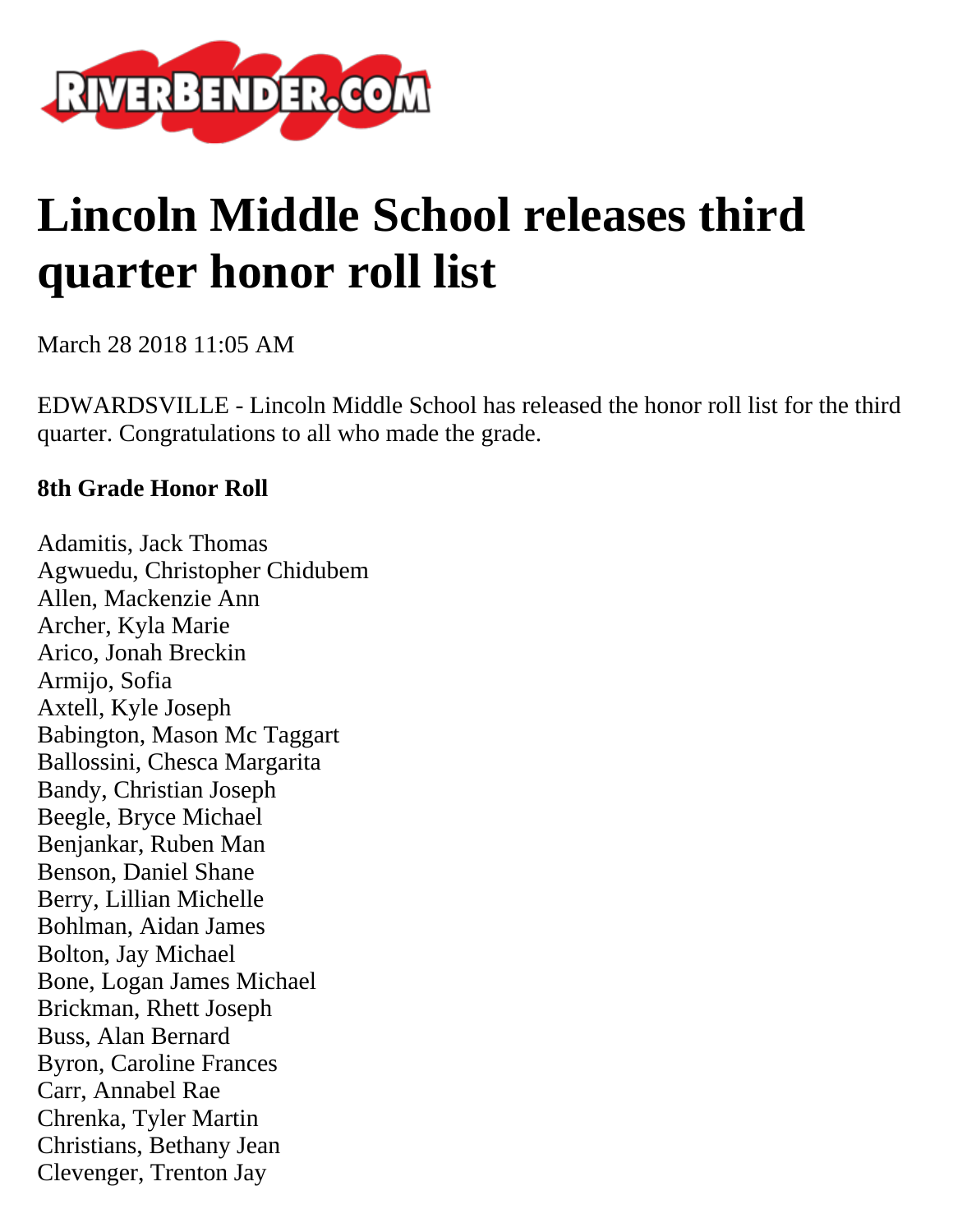

## **Lincoln Middle School releases third quarter honor roll list**

March 28 2018 11:05 AM

EDWARDSVILLE - Lincoln Middle School has released the honor roll list for the third quarter. Congratulations to all who made the grade.

## **8th Grade Honor Roll**

Adamitis, Jack Thomas Agwuedu, Christopher Chidubem Allen, Mackenzie Ann Archer, Kyla Marie Arico, Jonah Breckin Armijo, Sofia Axtell, Kyle Joseph Babington, Mason Mc Taggart Ballossini, Chesca Margarita Bandy, Christian Joseph Beegle, Bryce Michael Benjankar, Ruben Man Benson, Daniel Shane Berry, Lillian Michelle Bohlman, Aidan James Bolton, Jay Michael Bone, Logan James Michael Brickman, Rhett Joseph Buss, Alan Bernard Byron, Caroline Frances Carr, Annabel Rae Chrenka, Tyler Martin Christians, Bethany Jean Clevenger, Trenton Jay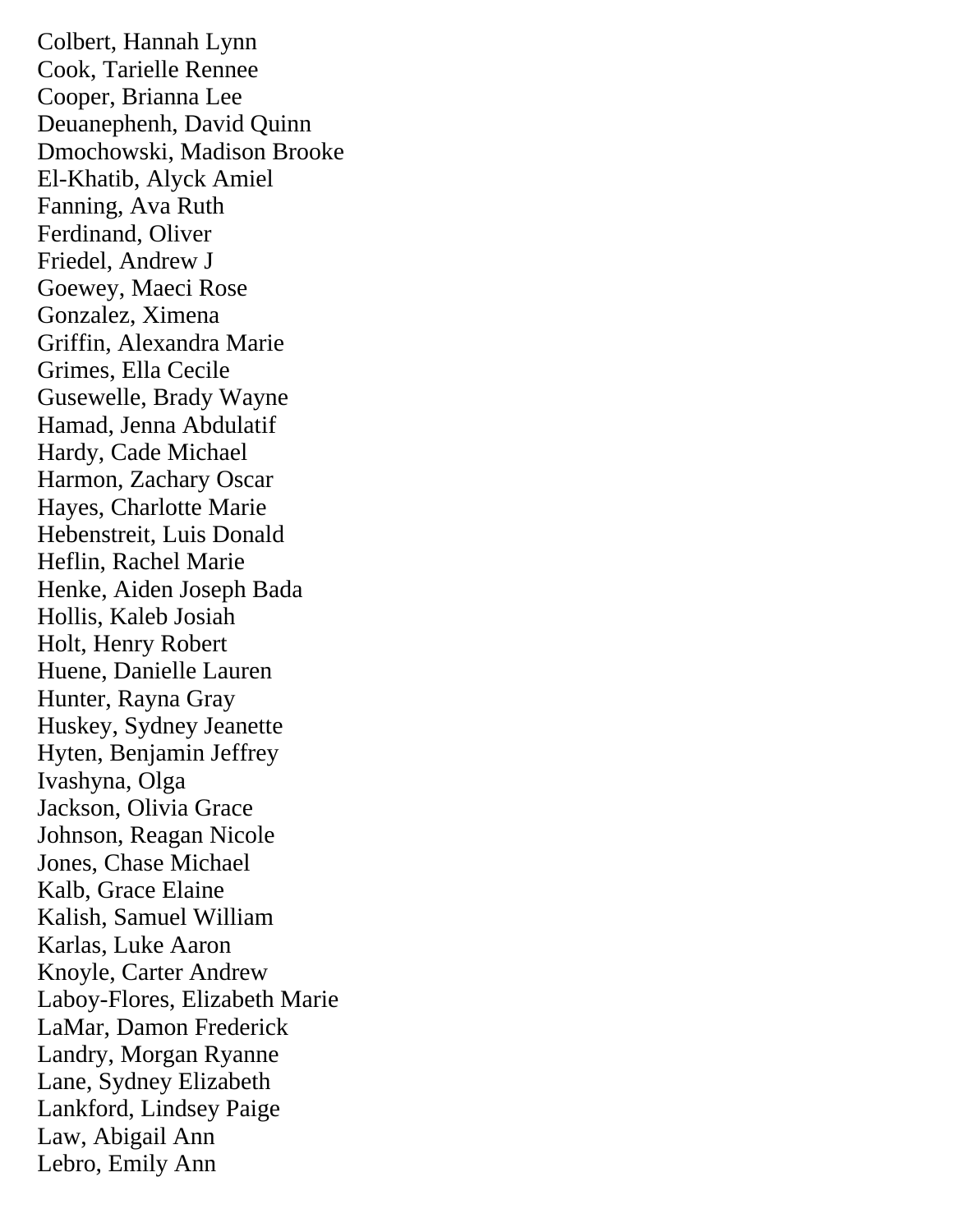Colbert, Hannah Lynn Cook, Tarielle Rennee Cooper, Brianna Lee Deuanephenh, David Quinn Dmochowski, Madison Brooke El-Khatib, Alyck Amiel Fanning, Ava Ruth Ferdinand, Oliver Friedel, Andrew J Goewey, Maeci Rose Gonzalez, Ximena Griffin, Alexandra Marie Grimes, Ella Cecile Gusewelle, Brady Wayne Hamad, Jenna Abdulatif Hardy, Cade Michael Harmon, Zachary Oscar Hayes, Charlotte Marie Hebenstreit, Luis Donald Heflin, Rachel Marie Henke, Aiden Joseph Bada Hollis, Kaleb Josiah Holt, Henry Robert Huene, Danielle Lauren Hunter, Rayna Gray Huskey, Sydney Jeanette Hyten, Benjamin Jeffrey Ivashyna, Olga Jackson, Olivia Grace Johnson, Reagan Nicole Jones, Chase Michael Kalb, Grace Elaine Kalish, Samuel William Karlas, Luke Aaron Knoyle, Carter Andrew Laboy-Flores, Elizabeth Marie LaMar, Damon Frederick Landry, Morgan Ryanne Lane, Sydney Elizabeth Lankford, Lindsey Paige Law, Abigail Ann Lebro, Emily Ann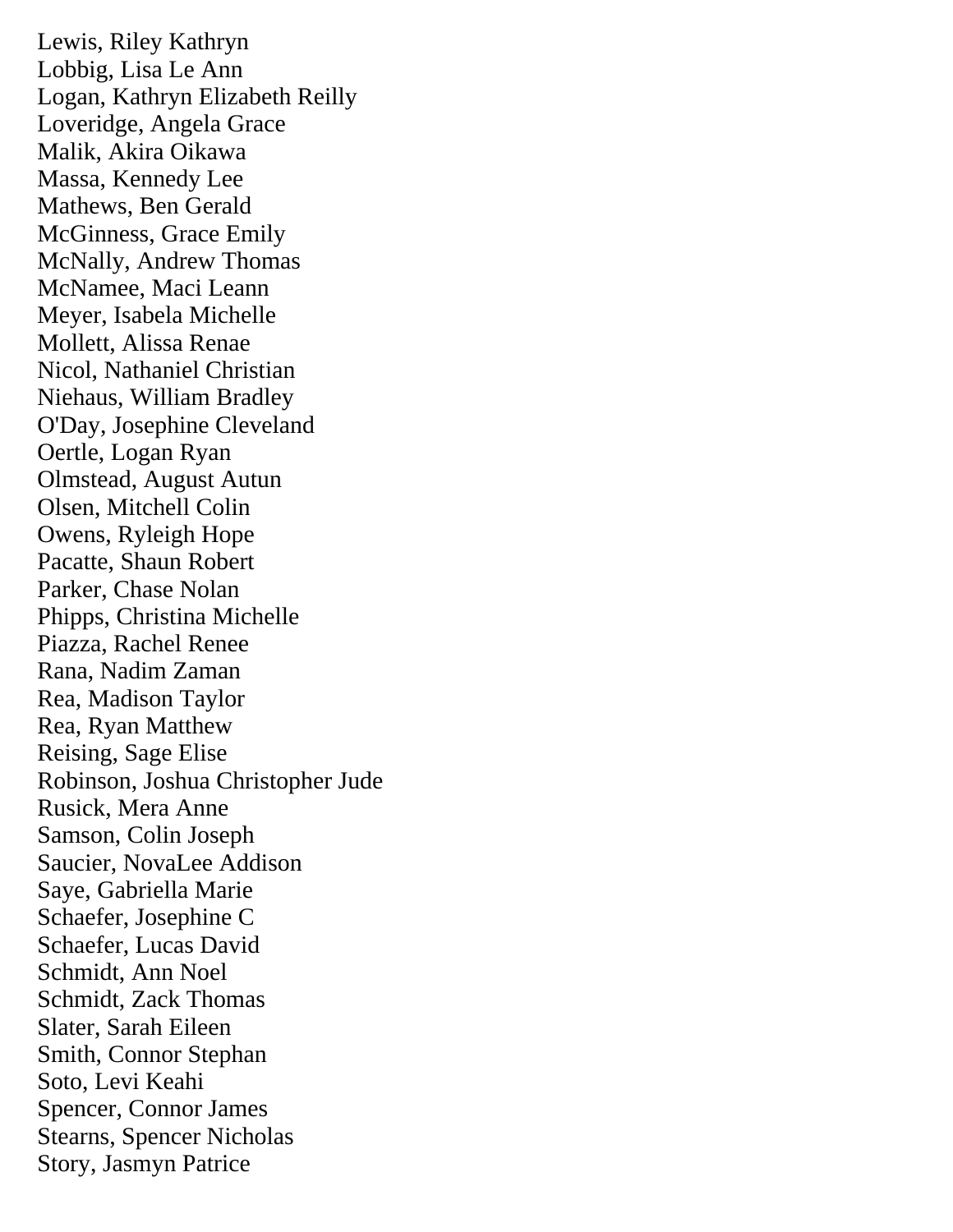Lewis, Riley Kathryn Lobbig, Lisa Le Ann Logan, Kathryn Elizabeth Reilly Loveridge, Angela Grace Malik, Akira Oikawa Massa, Kennedy Lee Mathews, Ben Gerald McGinness, Grace Emily McNally, Andrew Thomas McNamee, Maci Leann Meyer, Isabela Michelle Mollett, Alissa Renae Nicol, Nathaniel Christian Niehaus, William Bradley O'Day, Josephine Cleveland Oertle, Logan Ryan Olmstead, August Autun Olsen, Mitchell Colin Owens, Ryleigh Hope Pacatte, Shaun Robert Parker, Chase Nolan Phipps, Christina Michelle Piazza, Rachel Renee Rana, Nadim Zaman Rea, Madison Taylor Rea, Ryan Matthew Reising, Sage Elise Robinson, Joshua Christopher Jude Rusick, Mera Anne Samson, Colin Joseph Saucier, NovaLee Addison Saye, Gabriella Marie Schaefer, Josephine C Schaefer, Lucas David Schmidt, Ann Noel Schmidt, Zack Thomas Slater, Sarah Eileen Smith, Connor Stephan Soto, Levi Keahi Spencer, Connor James Stearns, Spencer Nicholas Story, Jasmyn Patrice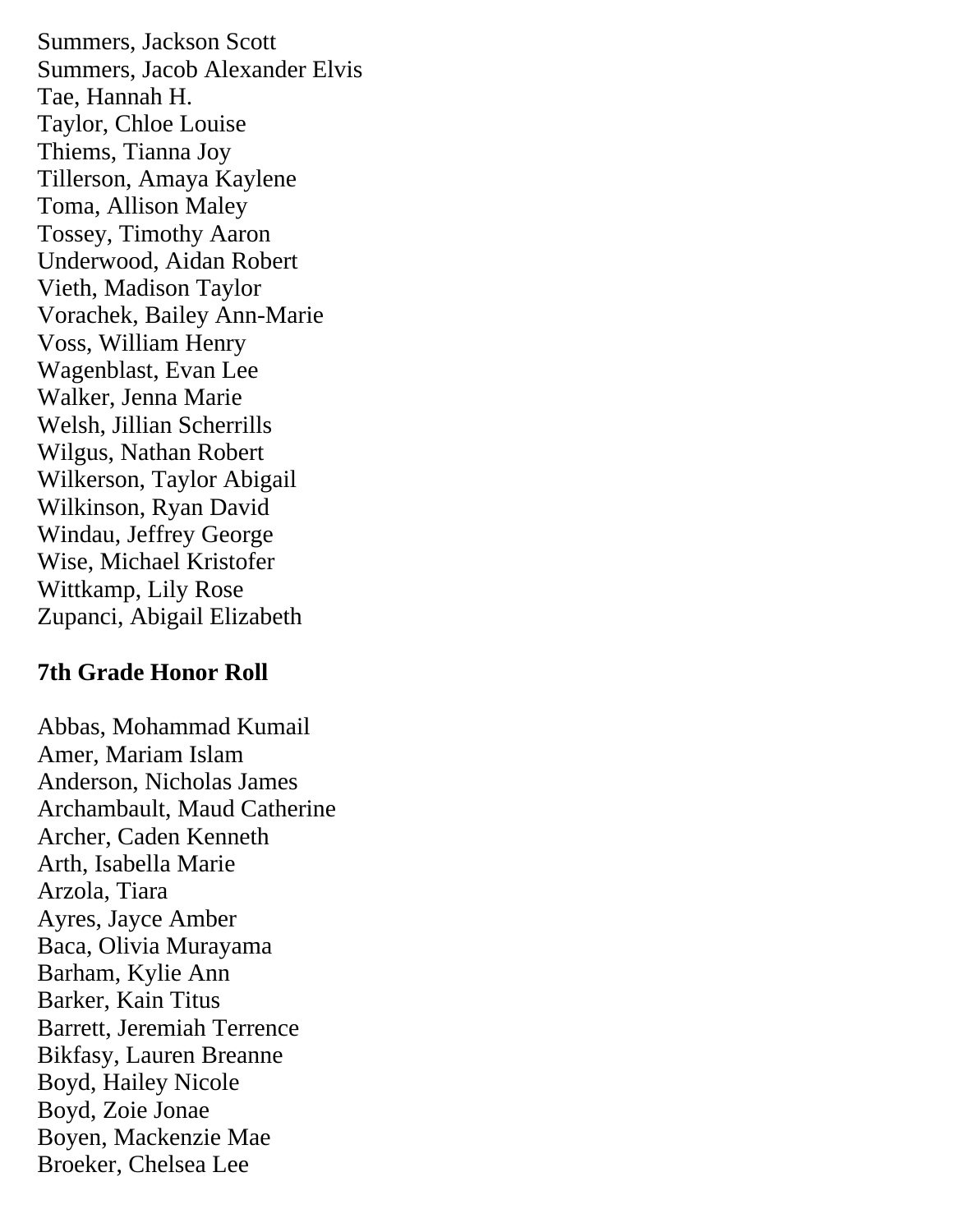Summers, Jackson Scott Summers, Jacob Alexander Elvis Tae, Hannah H. Taylor, Chloe Louise Thiems, Tianna Joy Tillerson, Amaya Kaylene Toma, Allison Maley Tossey, Timothy Aaron Underwood, Aidan Robert Vieth, Madison Taylor Vorachek, Bailey Ann-Marie Voss, William Henry Wagenblast, Evan Lee Walker, Jenna Marie Welsh, Jillian Scherrills Wilgus, Nathan Robert Wilkerson, Taylor Abigail Wilkinson, Ryan David Windau, Jeffrey George Wise, Michael Kristofer Wittkamp, Lily Rose Zupanci, Abigail Elizabeth

## **7th Grade Honor Roll**

Abbas, Mohammad Kumail Amer, Mariam Islam Anderson, Nicholas James Archambault, Maud Catherine Archer, Caden Kenneth Arth, Isabella Marie Arzola, Tiara Ayres, Jayce Amber Baca, Olivia Murayama Barham, Kylie Ann Barker, Kain Titus Barrett, Jeremiah Terrence Bikfasy, Lauren Breanne Boyd, Hailey Nicole Boyd, Zoie Jonae Boyen, Mackenzie Mae Broeker, Chelsea Lee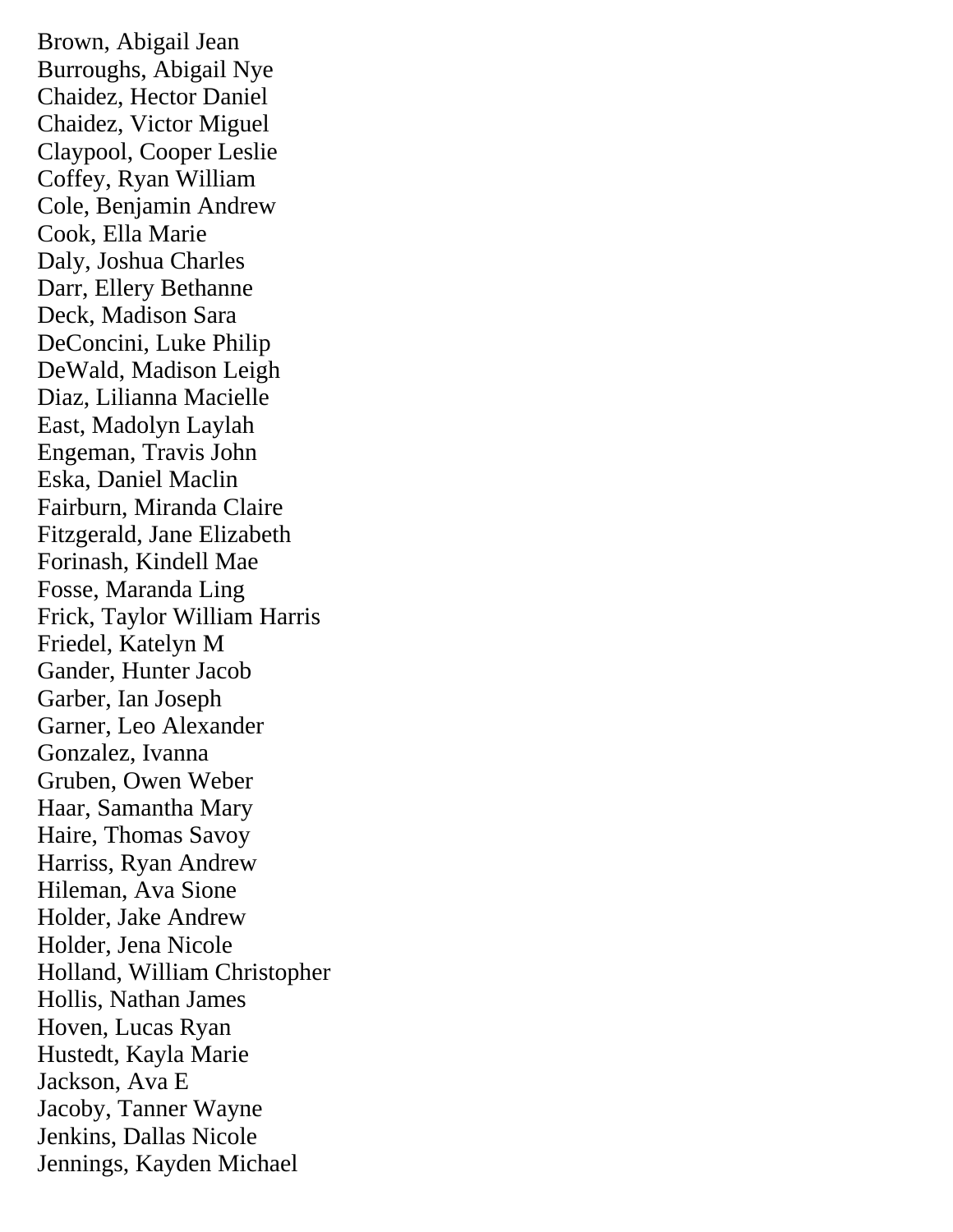Brown, Abigail Jean Burroughs, Abigail Nye Chaidez, Hector Daniel Chaidez, Victor Miguel Claypool, Cooper Leslie Coffey, Ryan William Cole, Benjamin Andrew Cook, Ella Marie Daly, Joshua Charles Darr, Ellery Bethanne Deck, Madison Sara DeConcini, Luke Philip DeWald, Madison Leigh Diaz, Lilianna Macielle East, Madolyn Laylah Engeman, Travis John Eska, Daniel Maclin Fairburn, Miranda Claire Fitzgerald, Jane Elizabeth Forinash, Kindell Mae Fosse, Maranda Ling Frick, Taylor William Harris Friedel, Katelyn M Gander, Hunter Jacob Garber, Ian Joseph Garner, Leo Alexander Gonzalez, Ivanna Gruben, Owen Weber Haar, Samantha Mary Haire, Thomas Savoy Harriss, Ryan Andrew Hileman, Ava Sione Holder, Jake Andrew Holder, Jena Nicole Holland, William Christopher Hollis, Nathan James Hoven, Lucas Ryan Hustedt, Kayla Marie Jackson, Ava E Jacoby, Tanner Wayne Jenkins, Dallas Nicole Jennings, Kayden Michael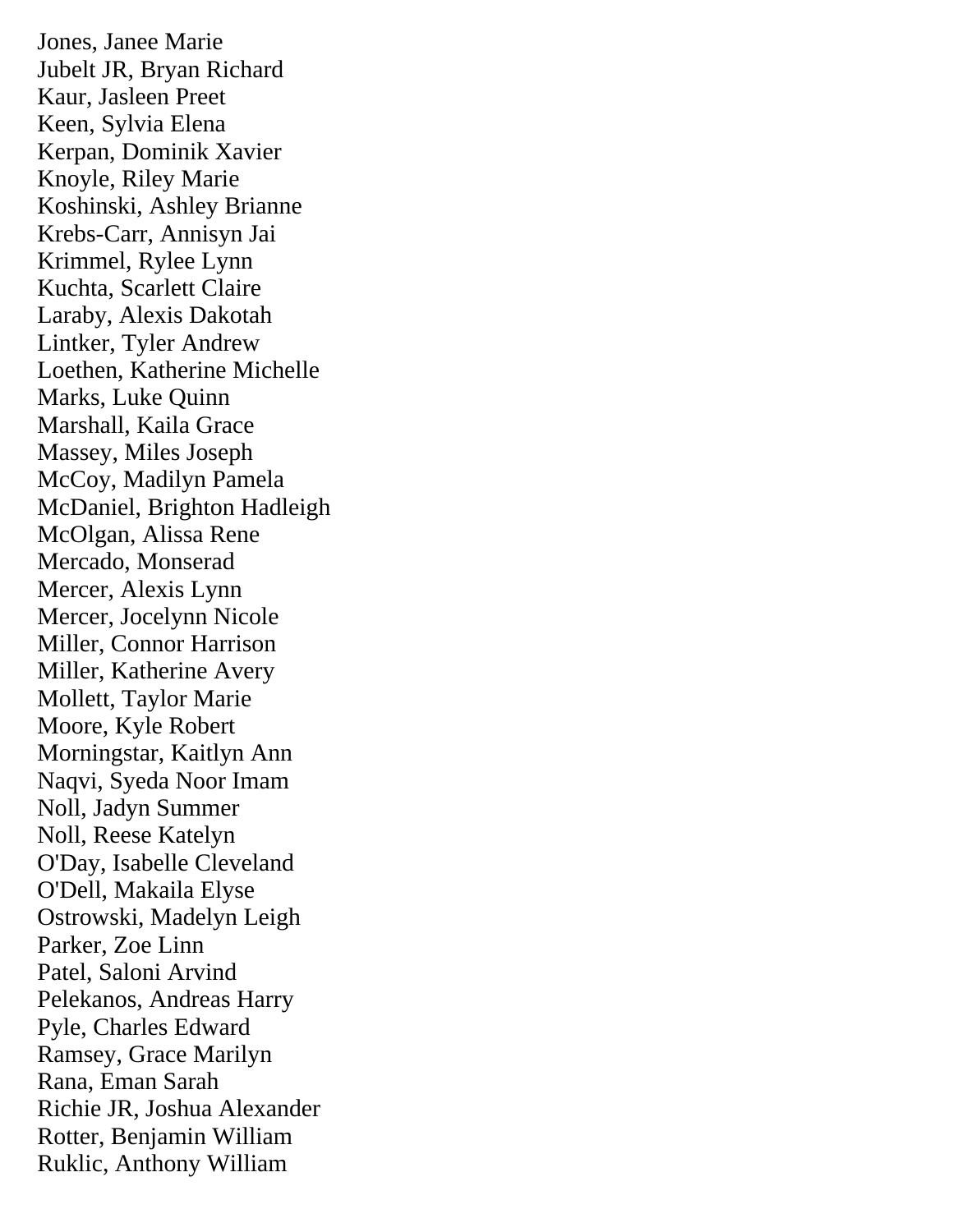Jones, Janee Marie Jubelt JR, Bryan Richard Kaur, Jasleen Preet Keen, Sylvia Elena Kerpan, Dominik Xavier Knoyle, Riley Marie Koshinski, Ashley Brianne Krebs-Carr, Annisyn Jai Krimmel, Rylee Lynn Kuchta, Scarlett Claire Laraby, Alexis Dakotah Lintker, Tyler Andrew Loethen, Katherine Michelle Marks, Luke Quinn Marshall, Kaila Grace Massey, Miles Joseph McCoy, Madilyn Pamela McDaniel, Brighton Hadleigh McOlgan, Alissa Rene Mercado, Monserad Mercer, Alexis Lynn Mercer, Jocelynn Nicole Miller, Connor Harrison Miller, Katherine Avery Mollett, Taylor Marie Moore, Kyle Robert Morningstar, Kaitlyn Ann Naqvi, Syeda Noor Imam Noll, Jadyn Summer Noll, Reese Katelyn O'Day, Isabelle Cleveland O'Dell, Makaila Elyse Ostrowski, Madelyn Leigh Parker, Zoe Linn Patel, Saloni Arvind Pelekanos, Andreas Harry Pyle, Charles Edward Ramsey, Grace Marilyn Rana, Eman Sarah Richie JR, Joshua Alexander Rotter, Benjamin William Ruklic, Anthony William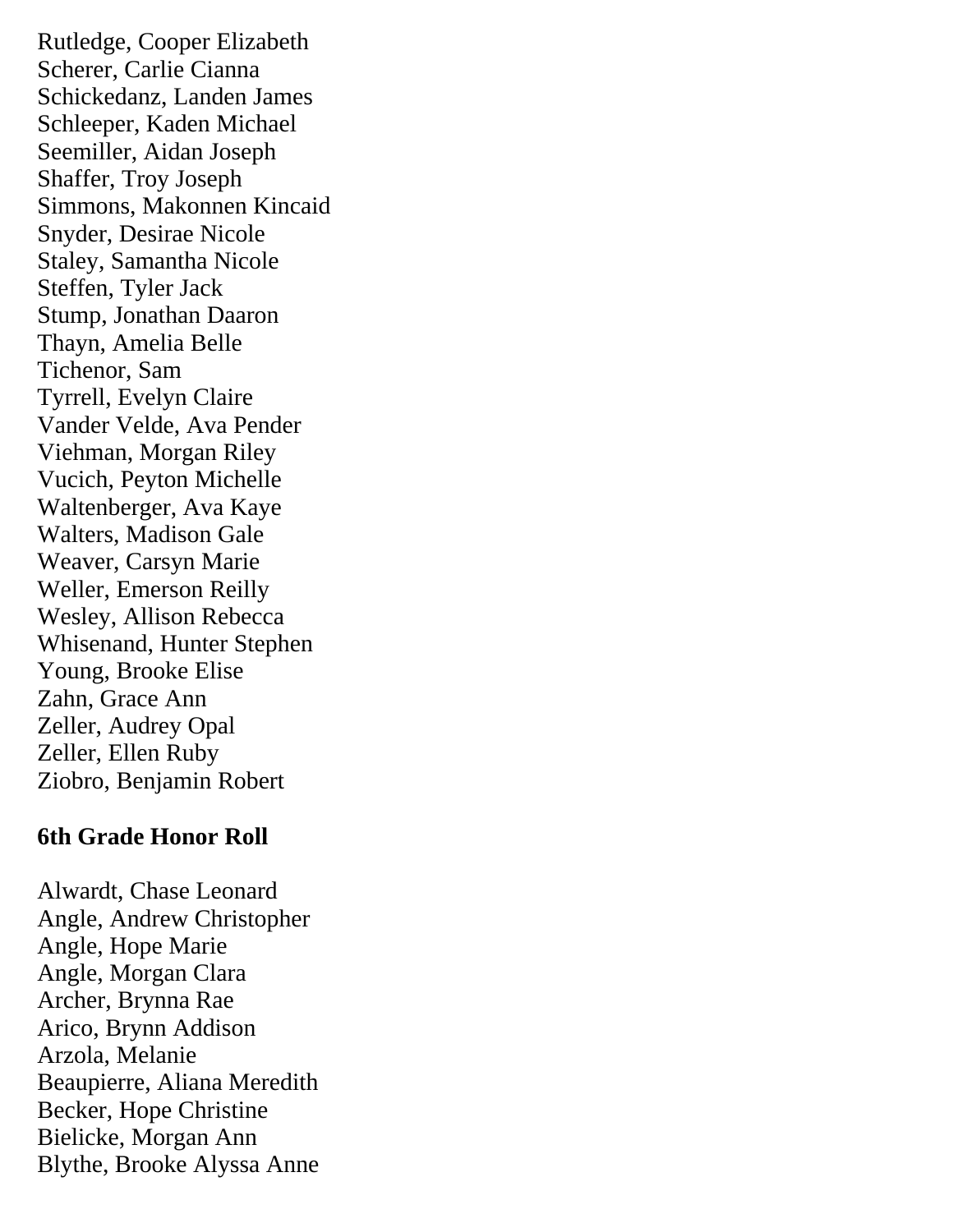Rutledge, Cooper Elizabeth Scherer, Carlie Cianna Schickedanz, Landen James Schleeper, Kaden Michael Seemiller, Aidan Joseph Shaffer, Troy Joseph Simmons, Makonnen Kincaid Snyder, Desirae Nicole Staley, Samantha Nicole Steffen, Tyler Jack Stump, Jonathan Daaron Thayn, Amelia Belle Tichenor, Sam Tyrrell, Evelyn Claire Vander Velde, Ava Pender Viehman, Morgan Riley Vucich, Peyton Michelle Waltenberger, Ava Kaye Walters, Madison Gale Weaver, Carsyn Marie Weller, Emerson Reilly Wesley, Allison Rebecca Whisenand, Hunter Stephen Young, Brooke Elise Zahn, Grace Ann Zeller, Audrey Opal Zeller, Ellen Ruby Ziobro, Benjamin Robert

## **6th Grade Honor Roll**

Alwardt, Chase Leonard Angle, Andrew Christopher Angle, Hope Marie Angle, Morgan Clara Archer, Brynna Rae Arico, Brynn Addison Arzola, Melanie Beaupierre, Aliana Meredith Becker, Hope Christine Bielicke, Morgan Ann Blythe, Brooke Alyssa Anne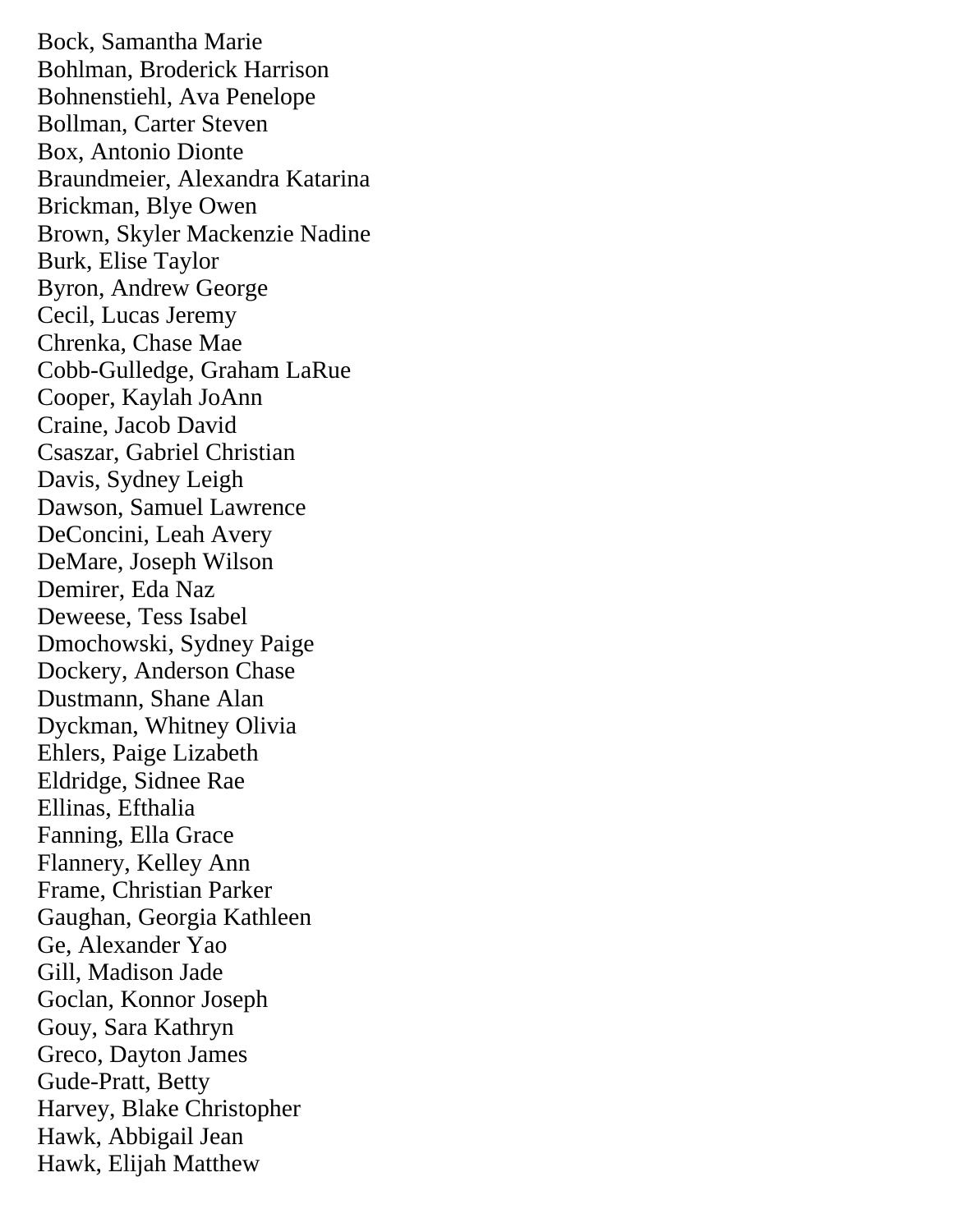Bock, Samantha Marie Bohlman, Broderick Harrison Bohnenstiehl, Ava Penelope Bollman, Carter Steven Box, Antonio Dionte Braundmeier, Alexandra Katarina Brickman, Blye Owen Brown, Skyler Mackenzie Nadine Burk, Elise Taylor Byron, Andrew George Cecil, Lucas Jeremy Chrenka, Chase Mae Cobb-Gulledge, Graham LaRue Cooper, Kaylah JoAnn Craine, Jacob David Csaszar, Gabriel Christian Davis, Sydney Leigh Dawson, Samuel Lawrence DeConcini, Leah Avery DeMare, Joseph Wilson Demirer, Eda Naz Deweese, Tess Isabel Dmochowski, Sydney Paige Dockery, Anderson Chase Dustmann, Shane Alan Dyckman, Whitney Olivia Ehlers, Paige Lizabeth Eldridge, Sidnee Rae Ellinas, Efthalia Fanning, Ella Grace Flannery, Kelley Ann Frame, Christian Parker Gaughan, Georgia Kathleen Ge, Alexander Yao Gill, Madison Jade Goclan, Konnor Joseph Gouy, Sara Kathryn Greco, Dayton James Gude-Pratt, Betty Harvey, Blake Christopher Hawk, Abbigail Jean Hawk, Elijah Matthew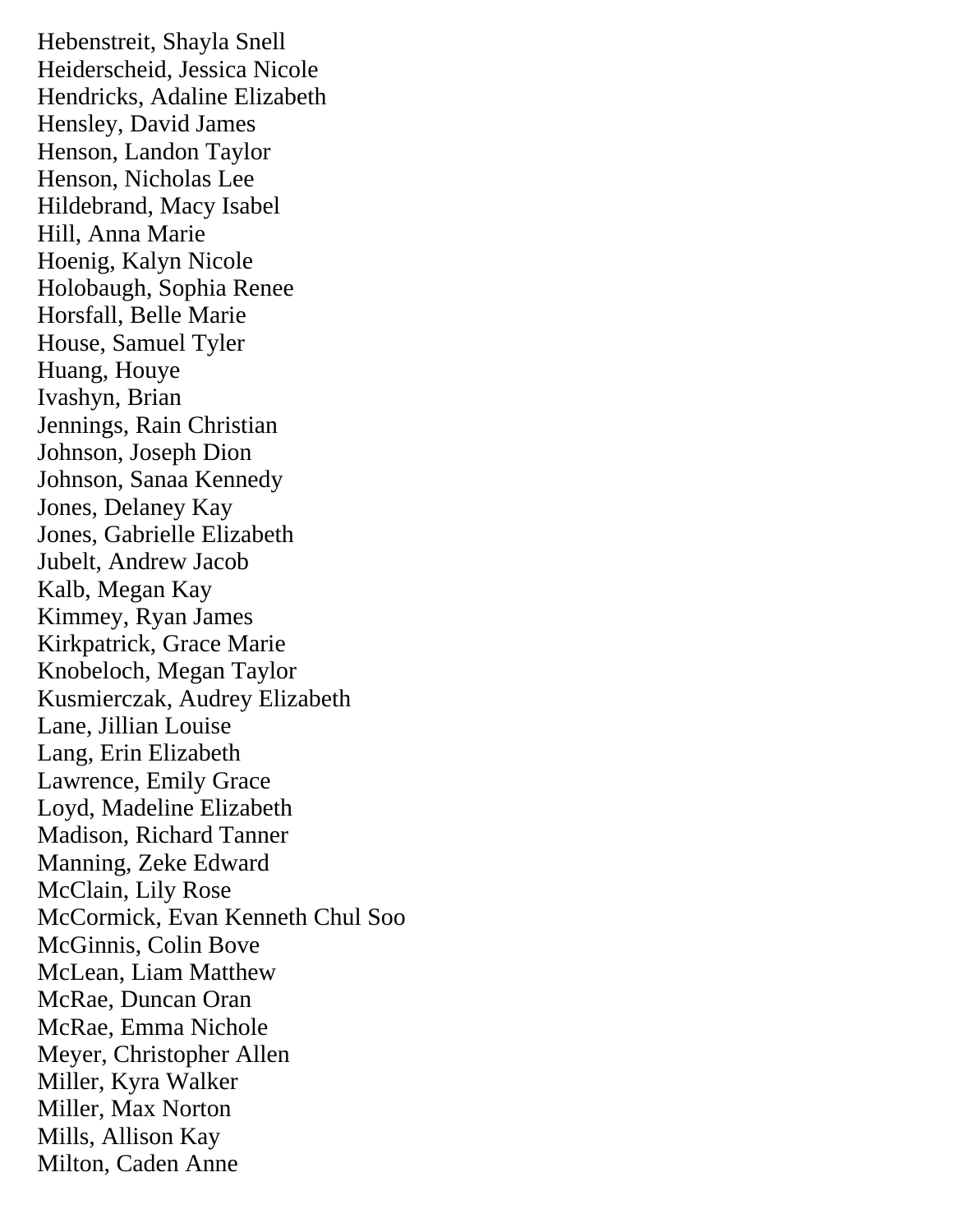Hebenstreit, Shayla Snell Heiderscheid, Jessica Nicole Hendricks, Adaline Elizabeth Hensley, David James Henson, Landon Taylor Henson, Nicholas Lee Hildebrand, Macy Isabel Hill, Anna Marie Hoenig, Kalyn Nicole Holobaugh, Sophia Renee Horsfall, Belle Marie House, Samuel Tyler Huang, Houye Ivashyn, Brian Jennings, Rain Christian Johnson, Joseph Dion Johnson, Sanaa Kennedy Jones, Delaney Kay Jones, Gabrielle Elizabeth Jubelt, Andrew Jacob Kalb, Megan Kay Kimmey, Ryan James Kirkpatrick, Grace Marie Knobeloch, Megan Taylor Kusmierczak, Audrey Elizabeth Lane, Jillian Louise Lang, Erin Elizabeth Lawrence, Emily Grace Loyd, Madeline Elizabeth Madison, Richard Tanner Manning, Zeke Edward McClain, Lily Rose McCormick, Evan Kenneth Chul Soo McGinnis, Colin Bove McLean, Liam Matthew McRae, Duncan Oran McRae, Emma Nichole Meyer, Christopher Allen Miller, Kyra Walker Miller, Max Norton Mills, Allison Kay Milton, Caden Anne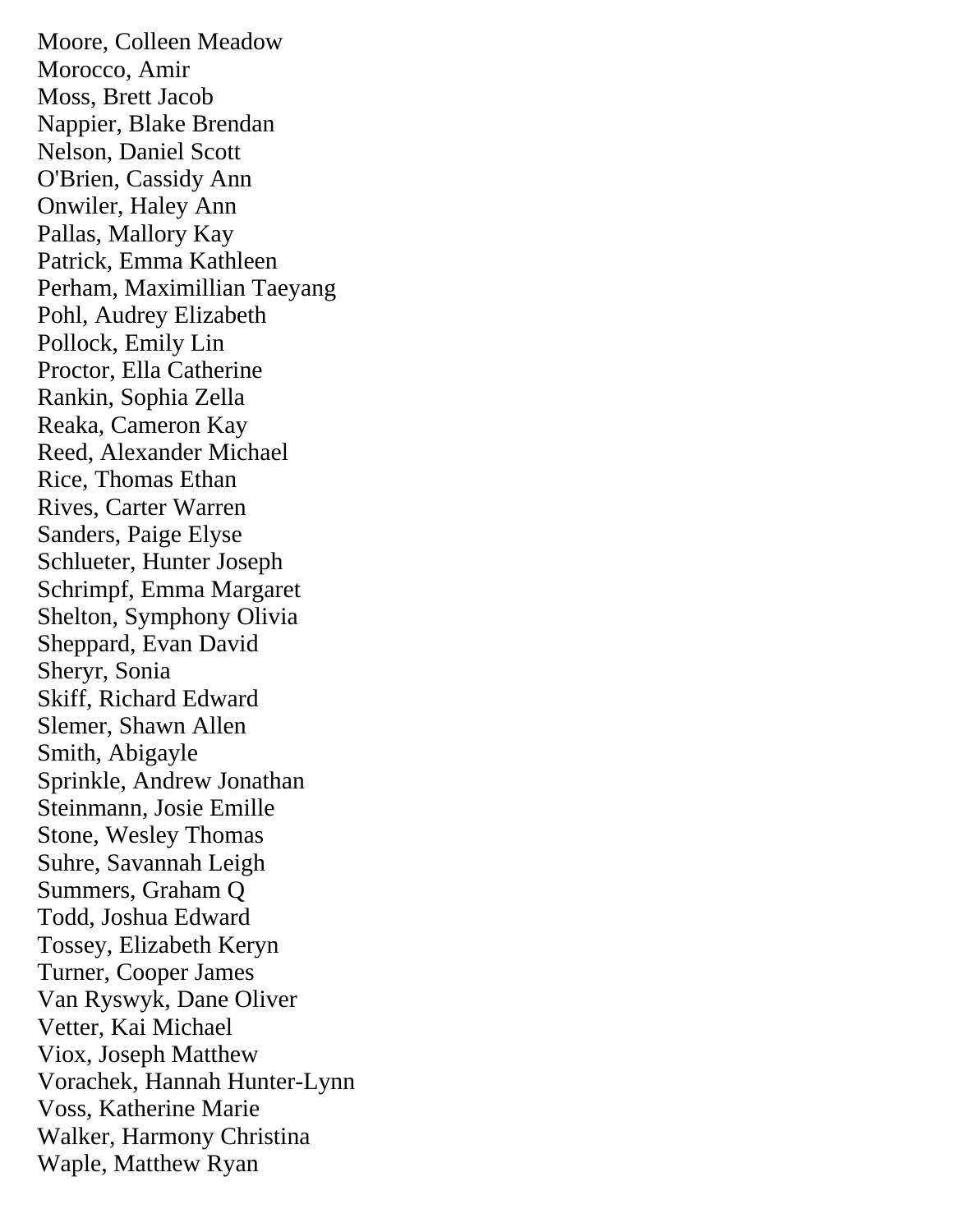Moore, Colleen Meadow Morocco, Amir Moss, Brett Jacob Nappier, Blake Brendan Nelson, Daniel Scott O'Brien, Cassidy Ann Onwiler, Haley Ann Pallas, Mallory Kay Patrick, Emma Kathleen Perham, Maximillian Taeyang Pohl, Audrey Elizabeth Pollock, Emily Lin Proctor, Ella Catherine Rankin, Sophia Zella Reaka, Cameron Kay Reed, Alexander Michael Rice, Thomas Ethan Rives, Carter Warren Sanders, Paige Elyse Schlueter, Hunter Joseph Schrimpf, Emma Margaret Shelton, Symphony Olivia Sheppard, Evan David Sheryr, Sonia Skiff, Richard Edward Slemer, Shawn Allen Smith, Abigayle Sprinkle, Andrew Jonathan Steinmann, Josie Emille Stone, Wesley Thomas Suhre, Savannah Leigh Summers, Graham Q Todd, Joshua Edward Tossey, Elizabeth Keryn Turner, Cooper James Van Ryswyk, Dane Oliver Vetter, Kai Michael Viox, Joseph Matthew Vorachek, Hannah Hunter-Lynn Voss, Katherine Marie Walker, Harmony Christina Waple, Matthew Ryan